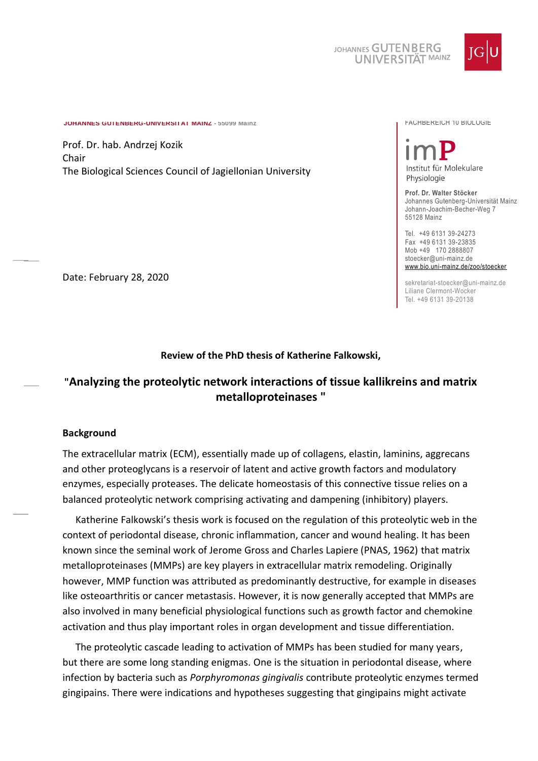

**JOHANNES GUTENBERG-UNIVERSITÄT MAINZ - 55099 Mainz** FACHBEREICH 10 BIOLOGIE

Prof. Dr. hab. Andrzej Kozik Chair The Biological Sciences Council of Jagiellonian University

# Institut für Molekulare Physiologie

**Prof. Dr. Walter Stöcker** Johannes Gutenberg-Universität Mainz Johann-Joachim-Becher-Weg 7 55128 Mainz

Tel. +49 6131 39-24273 Fax +49 6131 39-23835 Mob +49 170 2888807 stoecker@uni-mainz.de [www.bio.uni-mainz.de/zoo/stoecker](http://www.bio.uni-mainz.de/zoo/stoecker)

sekretariat-stoecker@uni-mainz.de Liliane Clermont-Wocker Tel. +49 6131 39-20138

Date: February 28, 2020

## **Review of the PhD thesis of Katherine Falkowski,**

# **"Analyzing the proteolytic network interactions of tissue kallikreins and matrix metalloproteinases "**

#### **Background**

The extracellular matrix (ECM), essentially made up of collagens, elastin, laminins, aggrecans and other proteoglycans is a reservoir of latent and active growth factors and modulatory enzymes, especially proteases. The delicate homeostasis of this connective tissue relies on a balanced proteolytic network comprising activating and dampening (inhibitory) players.

Katherine Falkowski's thesis work is focused on the regulation of this proteolytic web in the context of periodontal disease, chronic inflammation, cancer and wound healing. It has been known since the seminal work of Jerome Gross and Charles Lapiere (PNAS, 1962) that matrix metalloproteinases (MMPs) are key players in extracellular matrix remodeling. Originally however, MMP function was attributed as predominantly destructive, for example in diseases like osteoarthritis or cancer metastasis. However, it is now generally accepted that MMPs are also involved in many beneficial physiological functions such as growth factor and chemokine activation and thus play important roles in organ development and tissue differentiation.

The proteolytic cascade leading to activation of MMPs has been studied for many years, but there are some long standing enigmas. One is the situation in periodontal disease, where infection by bacteria such as *Porphyromonas gingivalis* contribute proteolytic enzymes termed gingipains. There were indications and hypotheses suggesting that gingipains might activate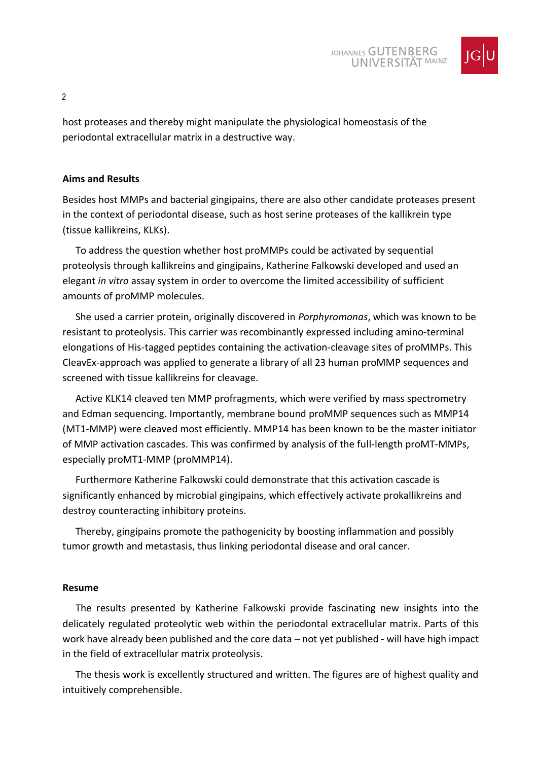

host proteases and thereby might manipulate the physiological homeostasis of the periodontal extracellular matrix in a destructive way.

# **Aims and Results**

Besides host MMPs and bacterial gingipains, there are also other candidate proteases present in the context of periodontal disease, such as host serine proteases of the kallikrein type (tissue kallikreins, KLKs).

To address the question whether host proMMPs could be activated by sequential proteolysis through kallikreins and gingipains, Katherine Falkowski developed and used an elegant *in vitro* assay system in order to overcome the limited accessibility of sufficient amounts of proMMP molecules.

She used a carrier protein, originally discovered in *Porphyromonas*, which was known to be resistant to proteolysis. This carrier was recombinantly expressed including amino-terminal elongations of His-tagged peptides containing the activation-cleavage sites of proMMPs. This CleavEx-approach was applied to generate a library of all 23 human proMMP sequences and screened with tissue kallikreins for cleavage.

Active KLK14 cleaved ten MMP profragments, which were verified by mass spectrometry and Edman sequencing. Importantly, membrane bound proMMP sequences such as MMP14 (MT1-MMP) were cleaved most efficiently. MMP14 has been known to be the master initiator of MMP activation cascades. This was confirmed by analysis of the full-length proMT-MMPs, especially proMT1-MMP (proMMP14).

Furthermore Katherine Falkowski could demonstrate that this activation cascade is significantly enhanced by microbial gingipains, which effectively activate prokallikreins and destroy counteracting inhibitory proteins.

Thereby, gingipains promote the pathogenicity by boosting inflammation and possibly tumor growth and metastasis, thus linking periodontal disease and oral cancer.

## **Resume**

The results presented by Katherine Falkowski provide fascinating new insights into the delicately regulated proteolytic web within the periodontal extracellular matrix. Parts of this work have already been published and the core data – not yet published - will have high impact in the field of extracellular matrix proteolysis.

The thesis work is excellently structured and written. The figures are of highest quality and intuitively comprehensible.

 $\mathfrak{p}$